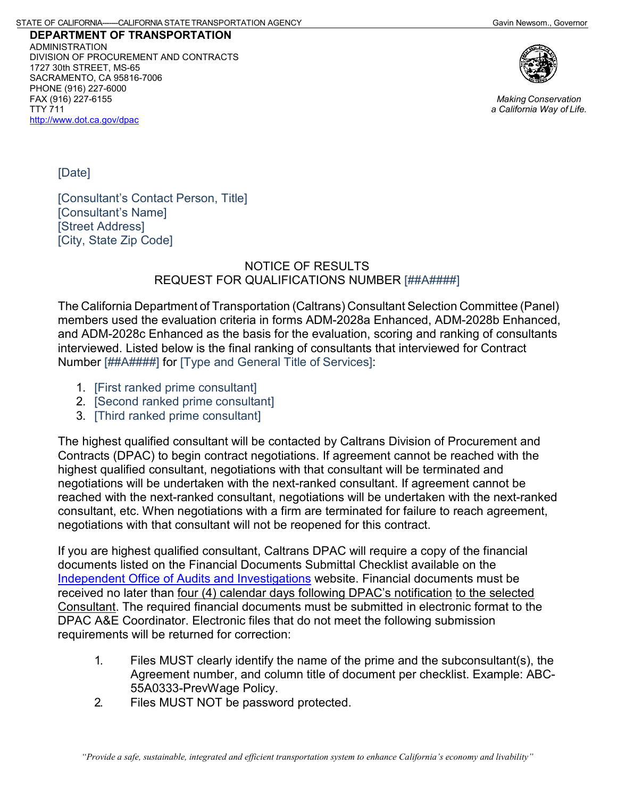**DEPARTMENT OF TRANSPORTATION** ADMINISTRATION DIVISION OF PROCUREMENT AND CONTRACTS 1727 30th STREET, MS-65 SACRAMENTO, CA 95816-7006 PHONE (916) 227-6000 FAX (916) 227-6155 TTY 711 <http://www.dot.ca.gov/dpac>



*Making Conservation a California Way of Life.*

[Date]

[Consultant's Contact Person, Title] [Consultant's Name] [Street Address] [City, State Zip Code]

## NOTICE OF RESULTS REQUEST FOR QUALIFICATIONS NUMBER [##A####]

The California Department of Transportation (Caltrans) Consultant Selection Committee (Panel) members used the evaluation criteria in forms ADM-2028a Enhanced, ADM-2028b Enhanced, and ADM-2028c Enhanced as the basis for the evaluation, scoring and ranking of consultants interviewed. Listed below is the final ranking of consultants that interviewed for Contract Number [##A####] for [Type and General Title of Services]:

- 1. [First ranked prime consultant]
- 2. [Second ranked prime consultant]
- 3. [Third ranked prime consultant]

The highest qualified consultant will be contacted by Caltrans Division of Procurement and Contracts (DPAC) to begin contract negotiations. If agreement cannot be reached with the highest qualified consultant, negotiations with that consultant will be terminated and negotiations will be undertaken with the next-ranked consultant. If agreement cannot be reached with the next-ranked consultant, negotiations will be undertaken with the next-ranked consultant, etc. When negotiations with a firm are terminated for failure to reach agreement, negotiations with that consultant will not be reopened for this contract.

If you are highest qualified consultant, Caltrans DPAC will require a copy of the financial documents listed on the Financial Documents Submittal Checklist available on the [Independent Office of Audits and Investigations](https://ig.dot.ca.gov/) website. Financial documents must be received no later than four (4) calendar days following DPAC's notification to the selected Consultant. The required financial documents must be submitted in electronic format to the DPAC A&E Coordinator. Electronic files that do not meet the following submission requirements will be returned for correction:

- 1. Files MUST clearly identify the name of the prime and the subconsultant(s), the Agreement number, and column title of document per checklist. Example: ABC-55A0333-PrevWage Policy.
- 2. Files MUST NOT be password protected.